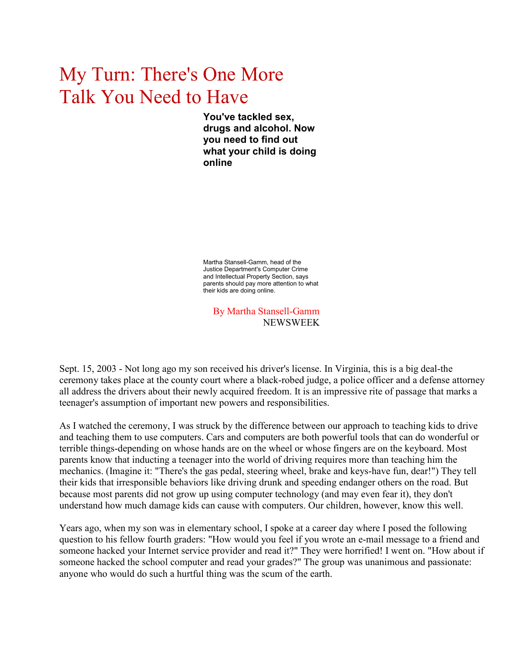## My Turn: There's One More Talk You Need to Have

**You've tackled sex, drugs and alcohol. Now you need to find out what your child is doing online**

Martha Stansell-Gamm, head of the Justice Department's Computer Crime and Intellectual Property Section, says parents should pay more attention to what their kids are doing online.

By Martha Stansell-Gamm NEWSWEEK

Sept. 15, 2003 - Not long ago my son received his driver's license. In Virginia, this is a big deal-the ceremony takes place at the county court where a black-robed judge, a police officer and a defense attorney all address the drivers about their newly acquired freedom. It is an impressive rite of passage that marks a teenager's assumption of important new powers and responsibilities.

As I watched the ceremony, I was struck by the difference between our approach to teaching kids to drive and teaching them to use computers. Cars and computers are both powerful tools that can do wonderful or terrible things-depending on whose hands are on the wheel or whose fingers are on the keyboard. Most parents know that inducting a teenager into the world of driving requires more than teaching him the mechanics. (Imagine it: "There's the gas pedal, steering wheel, brake and keys-have fun, dear!") They tell their kids that irresponsible behaviors like driving drunk and speeding endanger others on the road. But because most parents did not grow up using computer technology (and may even fear it), they don't understand how much damage kids can cause with computers. Our children, however, know this well.

Years ago, when my son was in elementary school, I spoke at a career day where I posed the following question to his fellow fourth graders: "How would you feel if you wrote an e-mail message to a friend and someone hacked your Internet service provider and read it?" They were horrified! I went on. "How about if someone hacked the school computer and read your grades?" The group was unanimous and passionate: anyone who would do such a hurtful thing was the scum of the earth.